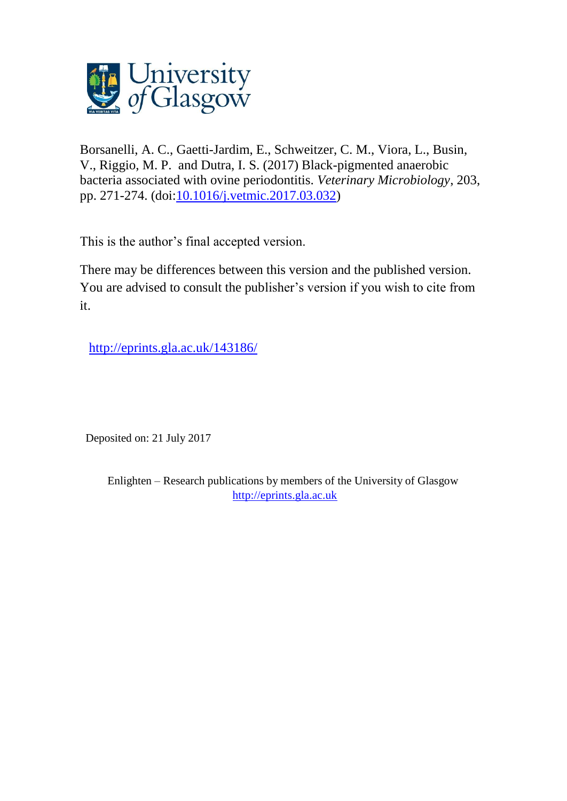

Borsanelli, A. C., Gaetti-Jardim, E., Schweitzer, C. M., Viora, L., Busin, V., Riggio, M. P. and Dutra, I. S. (2017) Black-pigmented anaerobic bacteria associated with ovine periodontitis. *Veterinary Microbiology*, 203, pp. 271-274. (doi[:10.1016/j.vetmic.2017.03.032\)](http://dx.doi.org/10.1016/j.vetmic.2017.03.032)

This is the author's final accepted version.

There may be differences between this version and the published version. You are advised to consult the publisher's version if you wish to cite from it.

<http://eprints.gla.ac.uk/143186/>

Deposited on: 21 July 2017

Enlighten – Research publications by members of the University of Glasgow [http://eprints.gla.ac.uk](http://eprints.gla.ac.uk/)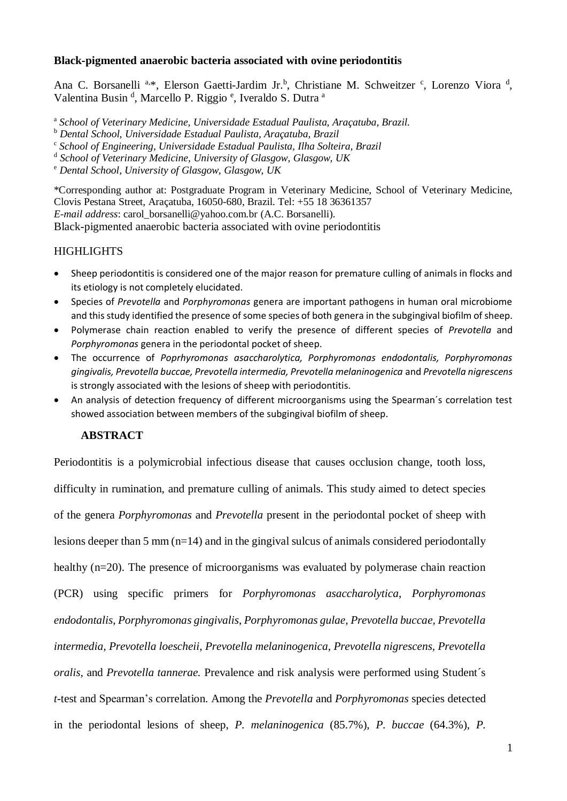## **Black-pigmented anaerobic bacteria associated with ovine periodontitis**

Ana C. Borsanelli<sup>a,\*</sup>, Elerson Gaetti-Jardim Jr.<sup>b</sup>, Christiane M. Schweitzer <sup>c</sup>, Lorenzo Viora<sup>d</sup>, Valentina Busin<sup>d</sup>, Marcello P. Riggio<sup>e</sup>, Iveraldo S. Dutra<sup>a</sup>

<sup>a</sup> School of Veterinary Medicine, Universidade Estadual Paulista, Araçatuba, Brazil.

<sup>b</sup> *Dental School, Universidade Estadual Paulista, Araçatuba, Brazil*

<sup>c</sup> School of Engineering, Universidade Estadual Paulista, Ilha Solteira, Brazil

d *School of Veterinary Medicine, University of Glasgow, Glasgow, UK*

<sup>e</sup> *Dental School, University of Glasgow, Glasgow, UK*

\*Corresponding author at: Postgraduate Program in Veterinary Medicine, School of Veterinary Medicine, Clovis Pestana Street, Araçatuba, 16050-680, Brazil. Tel: +55 18 36361357 *E-mail address*: carol\_borsanelli@yahoo.com.br (A.C. Borsanelli).

Black-pigmented anaerobic bacteria associated with ovine periodontitis

# **HIGHLIGHTS**

- Sheep periodontitis is considered one of the major reason for premature culling of animals in flocks and its etiology is not completely elucidated.
- Species of *Prevotella* and *Porphyromonas* genera are important pathogens in human oral microbiome and this study identified the presence of some species of both genera in the subgingival biofilm of sheep.
- Polymerase chain reaction enabled to verify the presence of different species of *Prevotella* and *Porphyromonas* genera in the periodontal pocket of sheep.
- The occurrence of *Poprhyromonas asaccharolytica, Porphyromonas endodontalis, Porphyromonas gingivalis, Prevotella buccae, Prevotella intermedia, Prevotella melaninogenica* and *Prevotella nigrescens*  is strongly associated with the lesions of sheep with periodontitis.
- An analysis of detection frequency of different microorganisms using the Spearman´s correlation test showed association between members of the subgingival biofilm of sheep.

# **ABSTRACT**

Periodontitis is a polymicrobial infectious disease that causes occlusion change, tooth loss, difficulty in rumination, and premature culling of animals. This study aimed to detect species of the genera *Porphyromonas* and *Prevotella* present in the periodontal pocket of sheep with lesions deeper than 5 mm (n=14) and in the gingival sulcus of animals considered periodontally healthy (n=20). The presence of microorganisms was evaluated by polymerase chain reaction (PCR) using specific primers for *Porphyromonas asaccharolytica*, *Porphyromonas endodontalis*, *Porphyromonas gingivalis*, *Porphyromonas gulae, Prevotella buccae, Prevotella intermedia, Prevotella loescheii, Prevotella melaninogenica, Prevotella nigrescens, Prevotella oralis,* and *Prevotella tannerae.* Prevalence and risk analysis were performed using Student´s *t*-test and Spearman's correlation. Among the *Prevotella* and *Porphyromonas* species detected in the periodontal lesions of sheep, *P. melaninogenica* (85.7%), *P. buccae* (64.3%), *P.*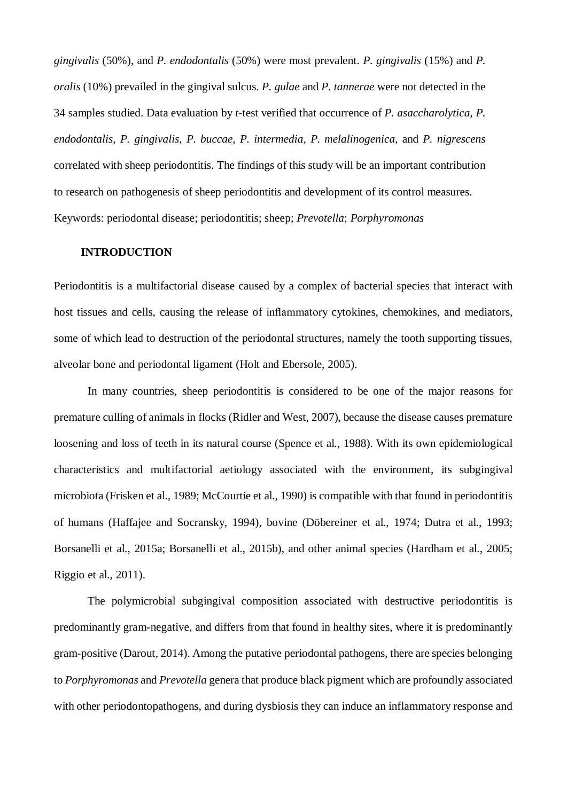*gingivalis* (50%), and *P. endodontalis* (50%) were most prevalent. *P. gingivalis* (15%) and *P. oralis* (10%) prevailed in the gingival sulcus. *P. gulae* and *P. tannerae* were not detected in the 34 samples studied. Data evaluation by *t*-test verified that occurrence of *P. asaccharolytica, P. endodontalis, P. gingivalis, P. buccae, P. intermedia, P. melalinogenica,* and *P. nigrescens*  correlated with sheep periodontitis. The findings of this study will be an important contribution to research on pathogenesis of sheep periodontitis and development of its control measures. Keywords: periodontal disease; periodontitis; sheep; *Prevotella*; *Porphyromonas*

#### **INTRODUCTION**

Periodontitis is a multifactorial disease caused by a complex of bacterial species that interact with host tissues and cells, causing the release of inflammatory cytokines, chemokines, and mediators, some of which lead to destruction of the periodontal structures, namely the tooth supporting tissues, alveolar bone and periodontal ligament (Holt and Ebersole, 2005).

In many countries, sheep periodontitis is considered to be one of the major reasons for premature culling of animals in flocks (Ridler and West, 2007), because the disease causes premature loosening and loss of teeth in its natural course (Spence et al., 1988). With its own epidemiological characteristics and multifactorial aetiology associated with the environment, its subgingival microbiota (Frisken et al., 1989; McCourtie et al., 1990) is compatible with that found in periodontitis of humans (Haffajee and Socransky, 1994), bovine (Döbereiner et al., 1974; Dutra et al., 1993; Borsanelli et al., 2015a; Borsanelli et al., 2015b), and other animal species (Hardham et al., 2005; Riggio et al., 2011).

The polymicrobial subgingival composition associated with destructive periodontitis is predominantly gram-negative, and differs from that found in healthy sites, where it is predominantly gram-positive (Darout, 2014). Among the putative periodontal pathogens, there are species belonging to *Porphyromonas* and *Prevotella* genera that produce black pigment which are profoundly associated with other periodontopathogens, and during dysbiosis they can induce an inflammatory response and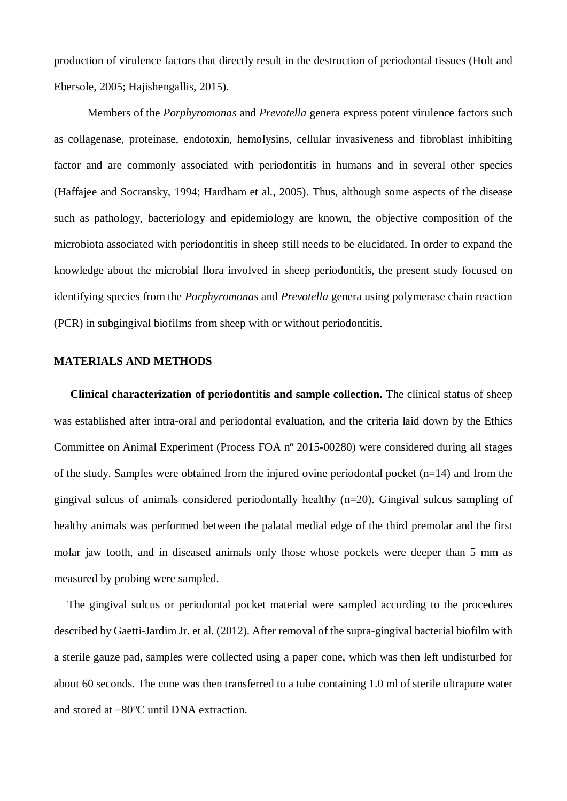production of virulence factors that directly result in the destruction of periodontal tissues (Holt and Ebersole, 2005; Hajishengallis, 2015).

Members of the *Porphyromonas* and *Prevotella* genera express potent virulence factors such as collagenase, proteinase, endotoxin, hemolysins, cellular invasiveness and fibroblast inhibiting factor and are commonly associated with periodontitis in humans and in several other species (Haffajee and Socransky, 1994; Hardham et al., 2005). Thus, although some aspects of the disease such as pathology, bacteriology and epidemiology are known, the objective composition of the microbiota associated with periodontitis in sheep still needs to be elucidated. In order to expand the knowledge about the microbial flora involved in sheep periodontitis, the present study focused on identifying species from the *Porphyromonas* and *Prevotella* genera using polymerase chain reaction (PCR) in subgingival biofilms from sheep with or without periodontitis.

### **MATERIALS AND METHODS**

 **Clinical characterization of periodontitis and sample collection.** The clinical status of sheep was established after intra-oral and periodontal evaluation, and the criteria laid down by the Ethics Committee on Animal Experiment (Process FOA nº 2015-00280) were considered during all stages of the study. Samples were obtained from the injured ovine periodontal pocket  $(n=14)$  and from the gingival sulcus of animals considered periodontally healthy (n=20). Gingival sulcus sampling of healthy animals was performed between the palatal medial edge of the third premolar and the first molar jaw tooth, and in diseased animals only those whose pockets were deeper than 5 mm as measured by probing were sampled.

The gingival sulcus or periodontal pocket material were sampled according to the procedures described by Gaetti-Jardim Jr. et al. (2012). After removal of the supra-gingival bacterial biofilm with a sterile gauze pad, samples were collected using a paper cone, which was then left undisturbed for about 60 seconds. The cone was then transferred to a tube containing 1.0 ml of sterile ultrapure water and stored at **−**80°C until DNA extraction.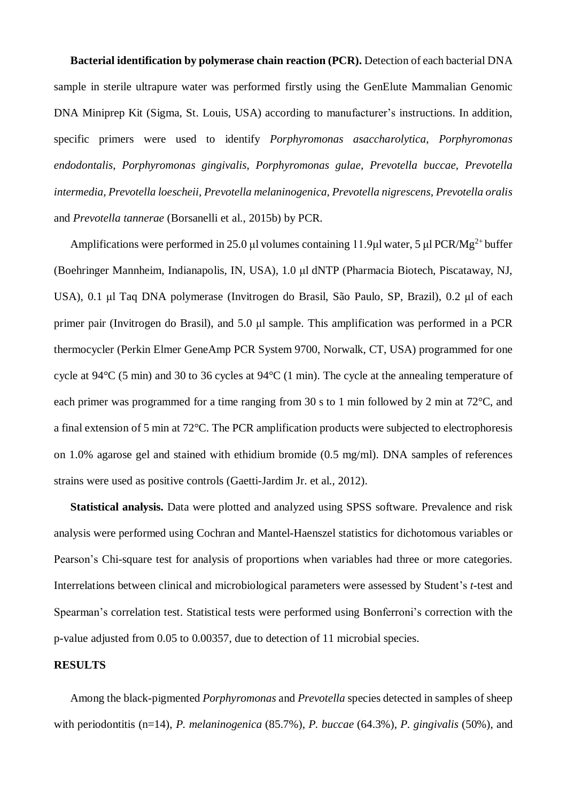**Bacterial identification by polymerase chain reaction (PCR).** Detection of each bacterial DNA sample in sterile ultrapure water was performed firstly using the GenElute Mammalian Genomic DNA Miniprep Kit (Sigma, St. Louis, USA) according to manufacturer's instructions. In addition, specific primers were used to identify *Porphyromonas asaccharolytica*, *Porphyromonas endodontalis*, *Porphyromonas gingivalis*, *Porphyromonas gulae, Prevotella buccae, Prevotella intermedia, Prevotella loescheii, Prevotella melaninogenica, Prevotella nigrescens, Prevotella oralis*  and *Prevotella tannerae* (Borsanelli et al., 2015b) by PCR.

Amplifications were performed in 25.0 μl volumes containing 11.9μl water, 5 μl PCR/Mg<sup>2+</sup> buffer (Boehringer Mannheim, Indianapolis, IN, USA), 1.0 μl dNTP (Pharmacia Biotech, Piscataway, NJ, USA), 0.1 μl Taq DNA polymerase (Invitrogen do Brasil, São Paulo, SP, Brazil), 0.2 μl of each primer pair (Invitrogen do Brasil), and 5.0 μl sample. This amplification was performed in a PCR thermocycler (Perkin Elmer GeneAmp PCR System 9700, Norwalk, CT, USA) programmed for one cycle at 94°C (5 min) and 30 to 36 cycles at 94°C (1 min). The cycle at the annealing temperature of each primer was programmed for a time ranging from 30 s to 1 min followed by 2 min at 72°C, and a final extension of 5 min at 72°C. The PCR amplification products were subjected to electrophoresis on 1.0% agarose gel and stained with ethidium bromide (0.5 mg/ml). DNA samples of references strains were used as positive controls (Gaetti-Jardim Jr. et al., 2012).

 **Statistical analysis.** Data were plotted and analyzed using SPSS software. Prevalence and risk analysis were performed using Cochran and Mantel-Haenszel statistics for dichotomous variables or Pearson's Chi-square test for analysis of proportions when variables had three or more categories. Interrelations between clinical and microbiological parameters were assessed by Student's *t*-test and Spearman's correlation test. Statistical tests were performed using Bonferroni's correction with the p-value adjusted from 0.05 to 0.00357, due to detection of 11 microbial species.

### **RESULTS**

 Among the black-pigmented *Porphyromonas* and *Prevotella* species detected in samples of sheep with periodontitis (n=14), *P. melaninogenica* (85.7%), *P. buccae* (64.3%), *P. gingivalis* (50%), and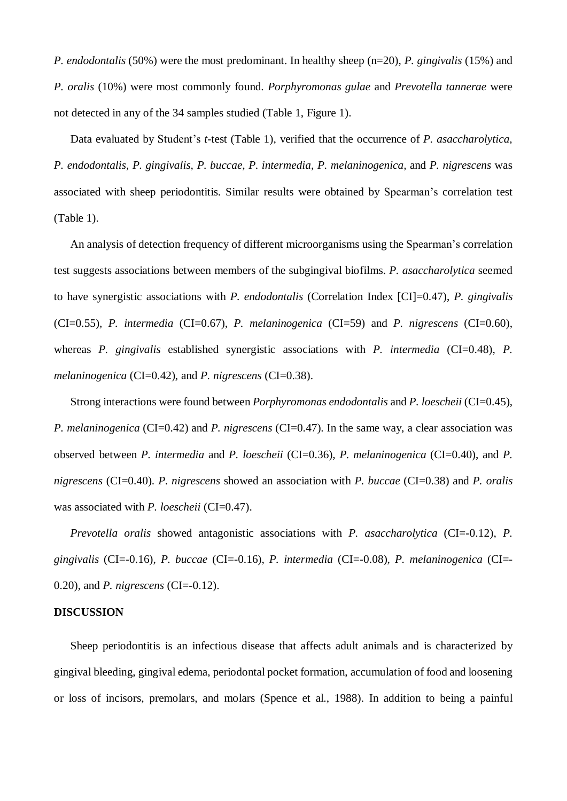*P. endodontalis* (50%) were the most predominant. In healthy sheep (n=20), *P. gingivalis* (15%) and *P. oralis* (10%) were most commonly found. *Porphyromonas gulae* and *Prevotella tannerae* were not detected in any of the 34 samples studied (Table 1, Figure 1).

 Data evaluated by Student's *t*-test (Table 1), verified that the occurrence of *P. asaccharolytica, P. endodontalis, P. gingivalis, P. buccae, P. intermedia, P. melaninogenica,* and *P. nigrescens* was associated with sheep periodontitis. Similar results were obtained by Spearman's correlation test (Table 1).

An analysis of detection frequency of different microorganisms using the Spearman's correlation test suggests associations between members of the subgingival biofilms. *P. asaccharolytica* seemed to have synergistic associations with *P. endodontalis* (Correlation Index [CI]=0.47), *P. gingivalis* (CI=0.55)*, P. intermedia* (CI=0.67)*, P. melaninogenica* (CI=59) and *P. nigrescens* (CI=0.60), whereas *P. gingivalis* established synergistic associations with *P. intermedia* (CI=0.48), *P. melaninogenica* (CI=0.42), and *P. nigrescens* (CI=0.38).

 Strong interactions were found between *Porphyromonas endodontalis* and *P. loescheii* (CI=0.45), *P. melaninogenica* (CI=0.42) and *P. nigrescens* (CI=0.47). In the same way, a clear association was observed between *P. intermedia* and *P. loescheii* (CI=0.36), *P. melaninogenica* (CI=0.40), and *P. nigrescens* (CI=0.40). *P. nigrescens* showed an association with *P. buccae* (CI=0.38) and *P. oralis*  was associated with *P. loescheii* (CI=0.47).

*Prevotella oralis* showed antagonistic associations with *P. asaccharolytica* (CI=-0.12), *P. gingivalis* (CI=-0.16), *P. buccae* (CI=-0.16), *P. intermedia* (CI=-0.08), *P. melaninogenica* (CI=- 0.20), and *P. nigrescens* (CI=-0.12).

### **DISCUSSION**

 Sheep periodontitis is an infectious disease that affects adult animals and is characterized by gingival bleeding, gingival edema, periodontal pocket formation, accumulation of food and loosening or loss of incisors, premolars, and molars (Spence et al., 1988). In addition to being a painful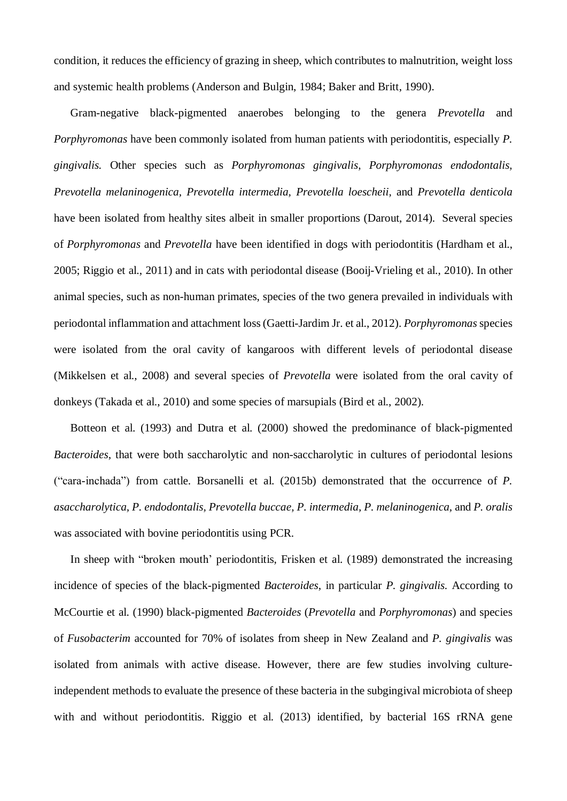condition, it reduces the efficiency of grazing in sheep, which contributes to malnutrition, weight loss and systemic health problems (Anderson and Bulgin, 1984; Baker and Britt, 1990).

 Gram-negative black-pigmented anaerobes belonging to the genera *Prevotella* and *Porphyromonas* have been commonly isolated from human patients with periodontitis, especially *P. gingivalis.* Other species such as *Porphyromonas gingivalis*, *Porphyromonas endodontalis, Prevotella melaninogenica, Prevotella intermedia, Prevotella loescheii,* and *Prevotella denticola*  have been isolated from healthy sites albeit in smaller proportions (Darout, 2014). Several species of *Porphyromonas* and *Prevotella* have been identified in dogs with periodontitis (Hardham et al., 2005; Riggio et al., 2011) and in cats with periodontal disease (Booij-Vrieling et al., 2010). In other animal species, such as non-human primates, species of the two genera prevailed in individuals with periodontal inflammation and attachment loss (Gaetti-Jardim Jr. et al., 2012). *Porphyromonas* species were isolated from the oral cavity of kangaroos with different levels of periodontal disease (Mikkelsen et al., 2008) and several species of *Prevotella* were isolated from the oral cavity of donkeys (Takada et al., 2010) and some species of marsupials (Bird et al., 2002).

 Botteon et al. (1993) and Dutra et al. (2000) showed the predominance of black-pigmented *Bacteroides*, that were both saccharolytic and non-saccharolytic in cultures of periodontal lesions ("cara-inchada") from cattle. Borsanelli et al. (2015b) demonstrated that the occurrence of *P. asaccharolytica, P. endodontalis, Prevotella buccae, P. intermedia, P. melaninogenica,* and *P. oralis*  was associated with bovine periodontitis using PCR.

In sheep with "broken mouth' periodontitis, Frisken et al. (1989) demonstrated the increasing incidence of species of the black-pigmented *Bacteroides*, in particular *P. gingivalis.* According to McCourtie et al. (1990) black-pigmented *Bacteroides* (*Prevotella* and *Porphyromonas*) and species of *Fusobacterim* accounted for 70% of isolates from sheep in New Zealand and *P. gingivalis* was isolated from animals with active disease. However, there are few studies involving cultureindependent methods to evaluate the presence of these bacteria in the subgingival microbiota of sheep with and without periodontitis. Riggio et al. (2013) identified, by bacterial 16S rRNA gene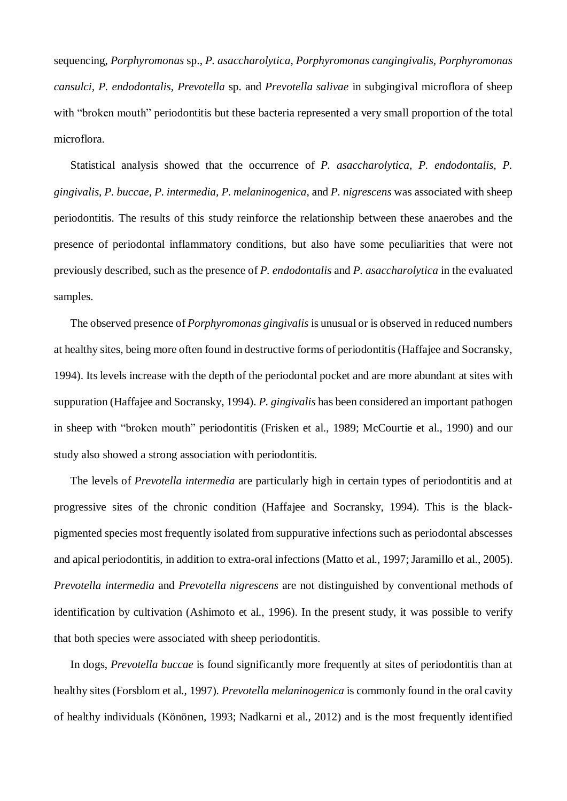sequencing, *Porphyromonas* sp., *P. asaccharolytica, Porphyromonas cangingivalis, Porphyromonas cansulci, P. endodontalis, Prevotella* sp. and *Prevotella salivae* in subgingival microflora of sheep with "broken mouth" periodontitis but these bacteria represented a very small proportion of the total microflora.

 Statistical analysis showed that the occurrence of *P. asaccharolytica, P. endodontalis, P. gingivalis, P. buccae, P. intermedia, P. melaninogenica,* and *P. nigrescens* was associated with sheep periodontitis. The results of this study reinforce the relationship between these anaerobes and the presence of periodontal inflammatory conditions, but also have some peculiarities that were not previously described, such as the presence of *P. endodontalis* and *P. asaccharolytica* in the evaluated samples.

 The observed presence of *Porphyromonas gingivalis* is unusual or is observed in reduced numbers at healthy sites, being more often found in destructive forms of periodontitis (Haffajee and Socransky, 1994). Its levels increase with the depth of the periodontal pocket and are more abundant at sites with suppuration (Haffajee and Socransky, 1994). *P. gingivalis* has been considered an important pathogen in sheep with "broken mouth" periodontitis (Frisken et al., 1989; McCourtie et al., 1990) and our study also showed a strong association with periodontitis.

The levels of *Prevotella intermedia* are particularly high in certain types of periodontitis and at progressive sites of the chronic condition (Haffajee and Socransky, 1994). This is the blackpigmented species most frequently isolated from suppurative infections such as periodontal abscesses and apical periodontitis, in addition to extra-oral infections (Matto et al., 1997; Jaramillo et al., 2005). *Prevotella intermedia* and *Prevotella nigrescens* are not distinguished by conventional methods of identification by cultivation (Ashimoto et al., 1996). In the present study, it was possible to verify that both species were associated with sheep periodontitis.

In dogs, *Prevotella buccae* is found significantly more frequently at sites of periodontitis than at healthy sites (Forsblom et al., 1997). *Prevotella melaninogenica* is commonly found in the oral cavity of healthy individuals (Könönen, 1993; Nadkarni et al., 2012) and is the most frequently identified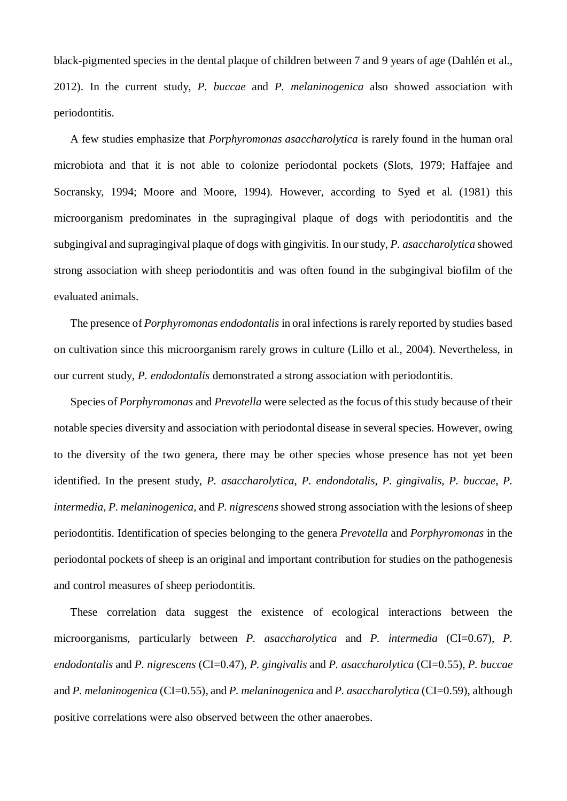black-pigmented species in the dental plaque of children between 7 and 9 years of age (Dahlén et al., 2012). In the current study, *P. buccae* and *P. melaninogenica* also showed association with periodontitis.

 A few studies emphasize that *Porphyromonas asaccharolytica* is rarely found in the human oral microbiota and that it is not able to colonize periodontal pockets (Slots, 1979; Haffajee and Socransky, 1994; Moore and Moore, 1994). However, according to Syed et al. (1981) this microorganism predominates in the supragingival plaque of dogs with periodontitis and the subgingival and supragingival plaque of dogs with gingivitis. In our study, *P. asaccharolytica* showed strong association with sheep periodontitis and was often found in the subgingival biofilm of the evaluated animals.

 The presence of *Porphyromonas endodontalis* in oral infections is rarely reported by studies based on cultivation since this microorganism rarely grows in culture (Lillo et al., 2004). Nevertheless, in our current study, *P. endodontalis* demonstrated a strong association with periodontitis.

 Species of *Porphyromonas* and *Prevotella* were selected as the focus of this study because of their notable species diversity and association with periodontal disease in several species. However, owing to the diversity of the two genera, there may be other species whose presence has not yet been identified. In the present study, *P. asaccharolytica*, *P. endondotalis*, *P. gingivalis, P. buccae*, *P. intermedia*, *P. melaninogenica,* and *P. nigrescens* showed strong association with the lesions of sheep periodontitis. Identification of species belonging to the genera *Prevotella* and *Porphyromonas* in the periodontal pockets of sheep is an original and important contribution for studies on the pathogenesis and control measures of sheep periodontitis.

 These correlation data suggest the existence of ecological interactions between the microorganisms, particularly between *P. asaccharolytica* and *P. intermedia* (CI=0.67), *P. endodontalis* and *P. nigrescens* (CI=0.47), *P. gingivalis* and *P. asaccharolytica* (CI=0.55), *P. buccae*  and *P. melaninogenica* (CI=0.55)*,* and *P. melaninogenica* and *P. asaccharolytica* (CI=0.59), although positive correlations were also observed between the other anaerobes.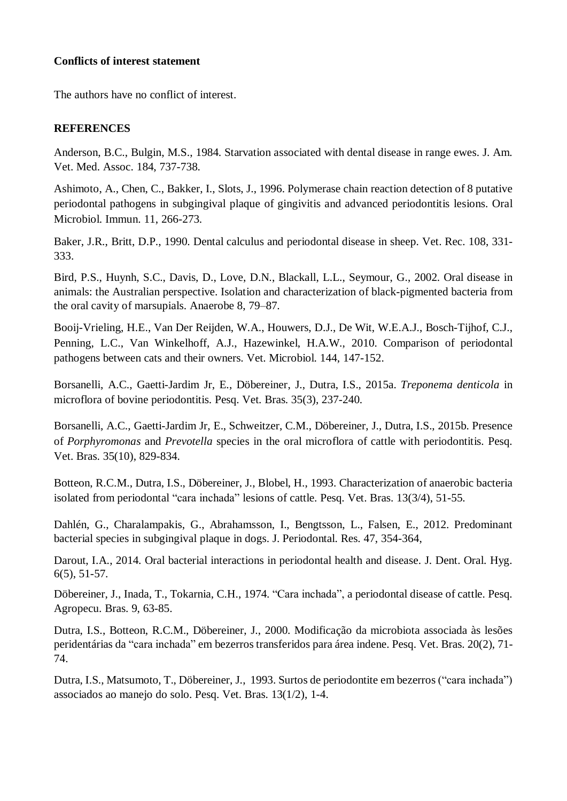# **Conflicts of interest statement**

The authors have no conflict of interest.

# **REFERENCES**

Anderson, B.C., Bulgin, M.S., 1984. Starvation associated with dental disease in range ewes. J. Am. Vet. Med. Assoc. 184, 737-738.

Ashimoto, A., Chen, C., Bakker, I., Slots, J., 1996. Polymerase chain reaction detection of 8 putative periodontal pathogens in subgingival plaque of gingivitis and advanced periodontitis lesions. Oral Microbiol. Immun. 11, 266-273.

Baker, J.R., Britt, D.P., 1990. Dental calculus and periodontal disease in sheep. Vet. Rec. 108, 331- 333.

Bird, P.S., Huynh, S.C., Davis, D., Love, D.N., Blackall, L.L., Seymour, G., 2002. Oral disease in animals: the Australian perspective. Isolation and characterization of black-pigmented bacteria from the oral cavity of marsupials. Anaerobe 8, 79–87.

Booij-Vrieling, H.E., Van Der Reijden, W.A., Houwers, D.J., De Wit, W.E.A.J., Bosch-Tijhof, C.J., Penning, L.C., Van Winkelhoff, A.J., Hazewinkel, H.A.W., 2010. Comparison of periodontal pathogens between cats and their owners. Vet. Microbiol. 144, 147-152.

Borsanelli, A.C., Gaetti-Jardim Jr, E., Döbereiner, J., Dutra, I.S., 2015a. *Treponema denticola* in microflora of bovine periodontitis. Pesq. Vet. Bras. 35(3), 237-240.

Borsanelli, A.C., Gaetti-Jardim Jr, E., Schweitzer, C.M., Döbereiner, J., Dutra, I.S., 2015b. Presence of *Porphyromonas* and *Prevotella* species in the oral microflora of cattle with periodontitis. Pesq. Vet. Bras. 35(10), 829-834.

Botteon, R.C.M., Dutra, I.S., Döbereiner, J., Blobel, H., 1993. Characterization of anaerobic bacteria isolated from periodontal "cara inchada" lesions of cattle. Pesq. Vet. Bras. 13(3/4), 51-55.

Dahlén, G., Charalampakis, G., Abrahamsson, I., Bengtsson, L., Falsen, E., 2012. Predominant bacterial species in subgingival plaque in dogs. J. Periodontal. Res. 47, 354-364,

Darout, I.A., 2014. Oral bacterial interactions in periodontal health and disease. J. Dent. Oral. Hyg. 6(5), 51-57.

Döbereiner, J., Inada, T., Tokarnia, C.H., 1974. "Cara inchada", a periodontal disease of cattle. Pesq. Agropecu. Bras. 9, 63-85.

Dutra, I.S., Botteon, R.C.M., Döbereiner, J., 2000. Modificação da microbiota associada às lesões peridentárias da "cara inchada" em bezerros transferidos para área indene. Pesq. Vet. Bras. 20(2), 71- 74.

Dutra, I.S., Matsumoto, T., Döbereiner, J., 1993. Surtos de periodontite em bezerros ("cara inchada") associados ao manejo do solo. Pesq. Vet. Bras. 13(1/2), 1-4.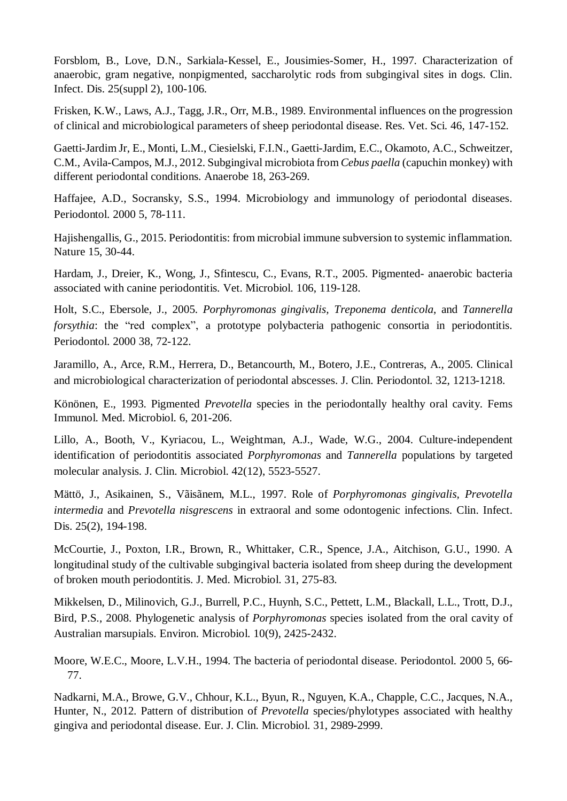Forsblom, B., Love, D.N., Sarkiala-Kessel, E., Jousimies-Somer, H., 1997. Characterization of anaerobic, gram negative, nonpigmented, saccharolytic rods from subgingival sites in dogs. Clin. Infect. Dis. 25(suppl 2), 100-106.

Frisken, K.W., Laws, A.J., Tagg, J.R., Orr, M.B., 1989. Environmental influences on the progression of clinical and microbiological parameters of sheep periodontal disease. Res. Vet. Sci. 46, 147-152.

Gaetti-Jardim Jr, E., Monti, L.M., Ciesielski, F.I.N., Gaetti-Jardim, E.C., Okamoto, A.C., Schweitzer, C.M., Avila-Campos, M.J., 2012. Subgingival microbiota from *Cebus paella* (capuchin monkey) with different periodontal conditions. Anaerobe 18, 263-269.

Haffajee, A.D., Socransky, S.S., 1994. Microbiology and immunology of periodontal diseases. Periodontol. 2000 5, 78-111.

Hajishengallis, G., 2015. Periodontitis: from microbial immune subversion to systemic inflammation. Nature 15, 30-44.

Hardam, J., Dreier, K., Wong, J., Sfintescu, C., Evans, R.T., 2005. Pigmented- anaerobic bacteria associated with canine periodontitis. Vet. Microbiol. 106, 119-128.

Holt, S.C., Ebersole, J., 2005. *Porphyromonas gingivalis, Treponema denticola*, and *Tannerella forsythia*: the "red complex", a prototype polybacteria pathogenic consortia in periodontitis. Periodontol. 2000 38, 72-122.

Jaramillo, A., Arce, R.M., Herrera, D., Betancourth, M., Botero, J.E., Contreras, A., 2005. Clinical and microbiological characterization of periodontal abscesses. J. Clin. Periodontol. 32, 1213-1218.

Könönen, E., 1993. Pigmented *Prevotella* species in the periodontally healthy oral cavity. Fems Immunol. Med. Microbiol. 6, 201-206.

Lillo, A., Booth, V., Kyriacou, L., Weightman, A.J., Wade, W.G., 2004. Culture-independent identification of periodontitis associated *Porphyromonas* and *Tannerella* populations by targeted molecular analysis. J. Clin. Microbiol. 42(12), 5523-5527.

Mättö, J., Asikainen, S., Vãisãnem, M.L., 1997. Role of *Porphyromonas gingivalis, Prevotella intermedia* and *Prevotella nisgrescens* in extraoral and some odontogenic infections. Clin. Infect. Dis. 25(2), 194-198.

McCourtie, J., Poxton, I.R., Brown, R., Whittaker, C.R., Spence, J.A., Aitchison, G.U., 1990. A longitudinal study of the cultivable subgingival bacteria isolated from sheep during the development of broken mouth periodontitis. J. Med. Microbiol. 31, 275-83.

Mikkelsen, D., Milinovich, G.J., Burrell, P.C., Huynh, S.C., Pettett, L.M., Blackall, L.L., Trott, D.J., Bird, P.S., 2008. Phylogenetic analysis of *Porphyromonas* species isolated from the oral cavity of Australian marsupials. Environ. Microbiol. 10(9), 2425-2432.

Moore, W.E.C., Moore, L.V.H., 1994. The bacteria of periodontal disease. Periodontol. 2000 5, 66- 77.

Nadkarni, M.A., Browe, G.V., Chhour, K.L., Byun, R., Nguyen, K.A., Chapple, C.C., Jacques, N.A., Hunter, N., 2012. Pattern of distribution of *Prevotella* species/phylotypes associated with healthy gingiva and periodontal disease. Eur. J. Clin. Microbiol. 31, 2989-2999.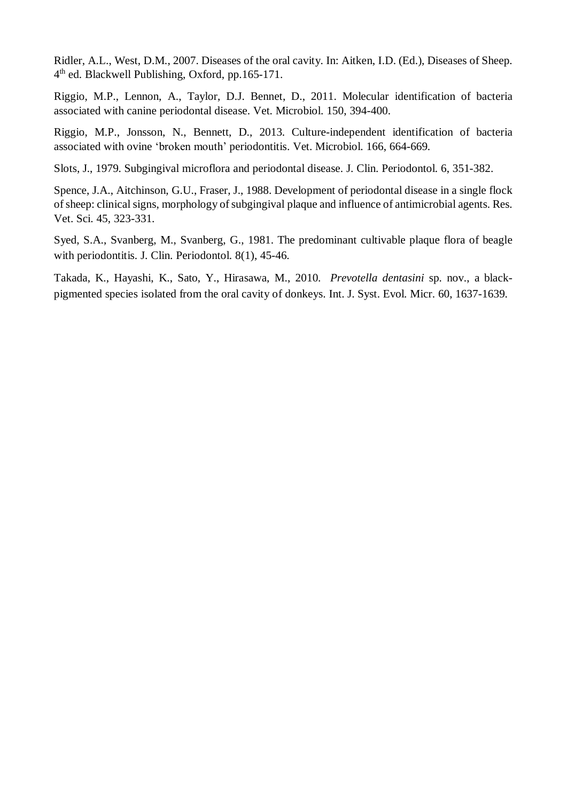Ridler, A.L., West, D.M., 2007. Diseases of the oral cavity. In: Aitken, I.D. (Ed.), Diseases of Sheep. 4<sup>th</sup> ed. Blackwell Publishing, Oxford, pp.165-171.

Riggio, M.P., Lennon, A., Taylor, D.J. Bennet, D., 2011. Molecular identification of bacteria associated with canine periodontal disease. Vet. Microbiol. 150, 394-400.

Riggio, M.P., Jonsson, N., Bennett, D., 2013. Culture-independent identification of bacteria associated with ovine 'broken mouth' periodontitis. Vet. Microbiol. 166, 664-669.

Slots, J., 1979. Subgingival microflora and periodontal disease. J. Clin. Periodontol. 6, 351-382.

Spence, J.A., Aitchinson, G.U., Fraser, J., 1988. Development of periodontal disease in a single flock of sheep: clinical signs, morphology of subgingival plaque and influence of antimicrobial agents. Res. Vet. Sci. 45, 323-331.

Syed, S.A., Svanberg, M., Svanberg, G., 1981. The predominant cultivable plaque flora of beagle with periodontitis. J. Clin. Periodontol. 8(1), 45-46.

Takada, K., Hayashi, K., Sato, Y., Hirasawa, M., 2010. *Prevotella dentasini* sp. nov., a blackpigmented species isolated from the oral cavity of donkeys. Int. J. Syst. Evol. Micr. 60, 1637-1639.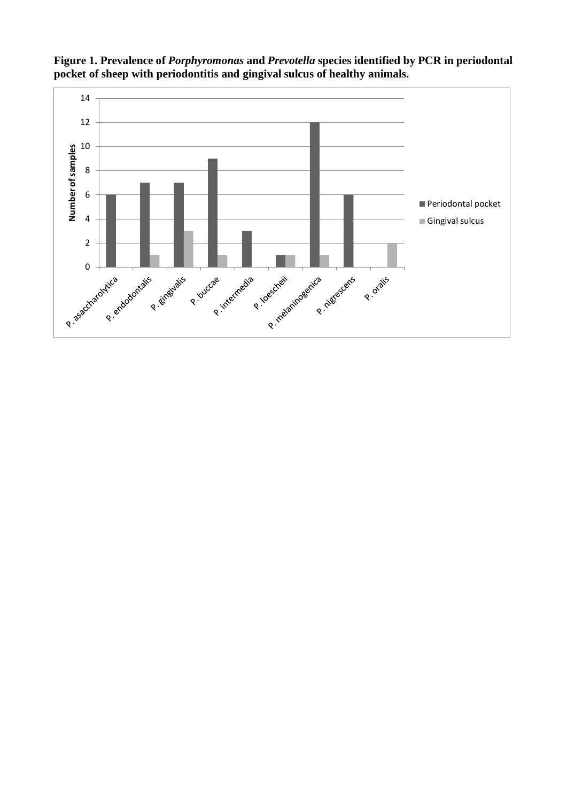

**Figure 1. Prevalence of** *Porphyromonas* **and** *Prevotella* **species identified by PCR in periodontal pocket of sheep with periodontitis and gingival sulcus of healthy animals.**